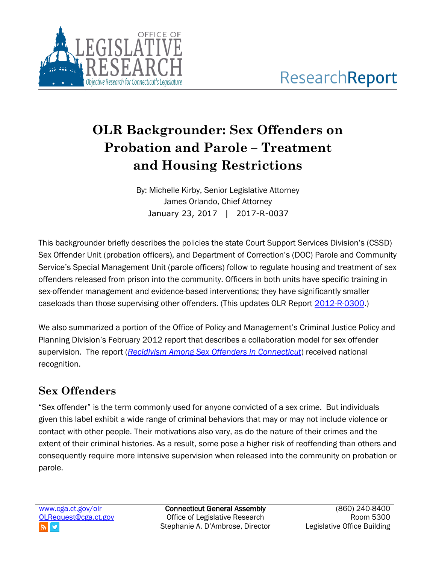

# **OLR Backgrounder: Sex Offenders on Probation and Parole – Treatment and Housing Restrictions**

By: Michelle Kirby, Senior Legislative Attorney James Orlando, Chief Attorney January 23, 2017 | 2017-R-0037

This backgrounder briefly describes the policies the state Court Support Services Division's (CSSD) Sex Offender Unit (probation officers), and Department of Correction's (DOC) Parole and Community Service's Special Management Unit (parole officers) follow to regulate housing and treatment of sex offenders released from prison into the community. Officers in both units have specific training in sex-offender management and evidence-based interventions; they have significantly smaller caseloads than those supervising other offenders. (This updates OLR Report [2012-R-0300.](https://www.cga.ct.gov/2012/rpt/pdf/2012-R-0300.pdf))

We also summarized a portion of the Office of Policy and Management's Criminal Justice Policy and Planning Division's February 2012 report that describes a collaboration model for sex offender supervision. The report (*[Recidivism Among Sex Offenders in Connecticut](http://www.ct.gov/opm/lib/opm/cjppd/cjresearch/recidivismstudy/sex_offender_recidivism_2012_final.pdf)*) received national recognition.

# **Sex Offenders**

"Sex offender" is the term commonly used for anyone convicted of a sex crime. But individuals given this label exhibit a wide range of criminal behaviors that may or may not include violence or contact with other people. Their motivations also vary, as do the nature of their crimes and the extent of their criminal histories. As a result, some pose a higher risk of reoffending than others and consequently require more intensive supervision when released into the community on probation or parole.

[www.cga.ct.gov/olr](http://www.cga.ct.gov/olr) [OLRequest@cga.ct.gov](mailto:OLRequest@cga.ct.gov)

Connecticut General Assembly Office of Legislative Research Stephanie A. D'Ambrose, Director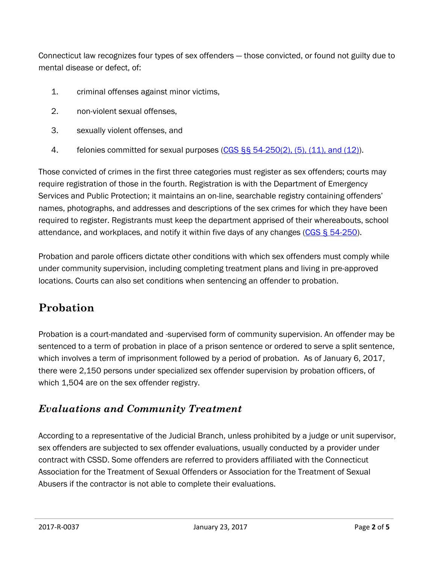Connecticut law recognizes four types of sex offenders — those convicted, or found not guilty due to mental disease or defect, of:

- 1. criminal offenses against minor victims,
- 2. non-violent sexual offenses,
- 3. sexually violent offenses, and
- 4. felonies committed for sexual purposes [\(CGS §§ 54-250\(2\), \(5\), \(11\), and \(12\)\)](http://www.cga.ct.gov/current/pub/chap_969.htm#Sec54-250.htm).

Those convicted of crimes in the first three categories must register as sex offenders; courts may require registration of those in the fourth. Registration is with the Department of Emergency Services and Public Protection; it maintains an on-line, searchable registry containing offenders' names, photographs, and addresses and descriptions of the sex crimes for which they have been required to register. Registrants must keep the department apprised of their whereabouts, school attendance, and workplaces, and notify it within five days of any changes [\(CGS § 54-250\)](http://www.cga.ct.gov/current/pub/chap_969.htm#Sec54-250.htm).

Probation and parole officers dictate other conditions with which sex offenders must comply while under community supervision, including completing treatment plans and living in pre-approved locations. Courts can also set conditions when sentencing an offender to probation.

## **Probation**

Probation is a court-mandated and -supervised form of community supervision. An offender may be sentenced to a term of probation in place of a prison sentence or ordered to serve a split sentence, which involves a term of imprisonment followed by a period of probation. As of January 6, 2017, there were 2,150 persons under specialized sex offender supervision by probation officers, of which 1,504 are on the sex offender registry.

## *Evaluations and Community Treatment*

According to a representative of the Judicial Branch, unless prohibited by a judge or unit supervisor, sex offenders are subjected to sex offender evaluations, usually conducted by a provider under contract with CSSD. Some offenders are referred to providers affiliated with the Connecticut Association for the Treatment of Sexual Offenders or Association for the Treatment of Sexual Abusers if the contractor is not able to complete their evaluations.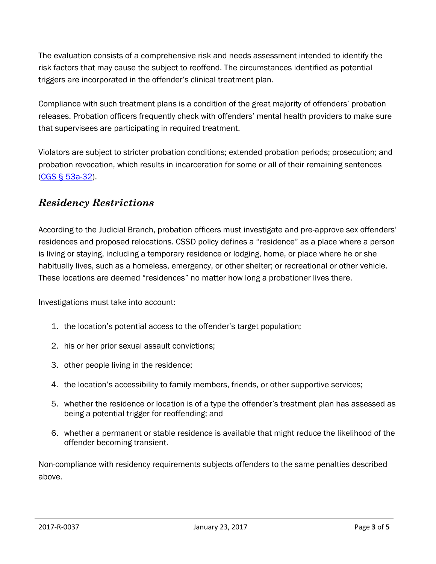The evaluation consists of a comprehensive risk and needs assessment intended to identify the risk factors that may cause the subject to reoffend. The circumstances identified as potential triggers are incorporated in the offender's clinical treatment plan.

Compliance with such treatment plans is a condition of the great majority of offenders' probation releases. Probation officers frequently check with offenders' mental health providers to make sure that supervisees are participating in required treatment.

Violators are subject to stricter probation conditions; extended probation periods; prosecution; and probation revocation, which results in incarceration for some or all of their remaining sentences [\(CGS § 53a-32\)](http://cgalites/2011/pub/chap_952.htm).

#### *Residency Restrictions*

According to the Judicial Branch, probation officers must investigate and pre-approve sex offenders' residences and proposed relocations. CSSD policy defines a "residence" as a place where a person is living or staying, including a temporary residence or lodging, home, or place where he or she habitually lives, such as a homeless, emergency, or other shelter; or recreational or other vehicle. These locations are deemed "residences" no matter how long a probationer lives there.

Investigations must take into account:

- 1. the location's potential access to the offender's target population;
- 2. his or her prior sexual assault convictions;
- 3. other people living in the residence;
- 4. the location's accessibility to family members, friends, or other supportive services;
- 5. whether the residence or location is of a type the offender's treatment plan has assessed as being a potential trigger for reoffending; and
- 6. whether a permanent or stable residence is available that might reduce the likelihood of the offender becoming transient.

Non-compliance with residency requirements subjects offenders to the same penalties described above.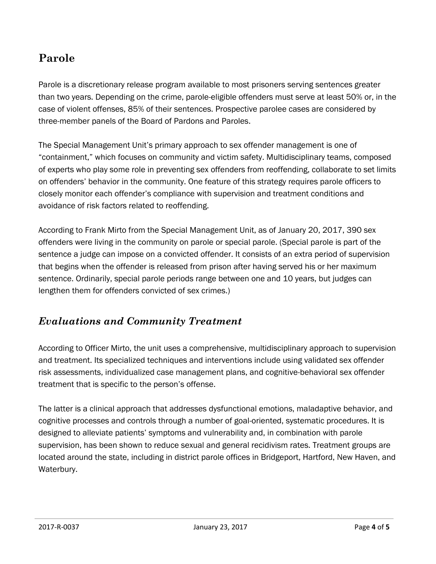## **Parole**

Parole is a discretionary release program available to most prisoners serving sentences greater than two years. Depending on the crime, parole-eligible offenders must serve at least 50% or, in the case of violent offenses, 85% of their sentences. Prospective parolee cases are considered by three-member panels of the Board of Pardons and Paroles.

The Special Management Unit's primary approach to sex offender management is one of "containment," which focuses on community and victim safety. Multidisciplinary teams, composed of experts who play some role in preventing sex offenders from reoffending, collaborate to set limits on offenders' behavior in the community. One feature of this strategy requires parole officers to closely monitor each offender's compliance with supervision and treatment conditions and avoidance of risk factors related to reoffending.

According to Frank Mirto from the Special Management Unit, as of January 20, 2017, 390 sex offenders were living in the community on parole or special parole. (Special parole is part of the sentence a judge can impose on a convicted offender. It consists of an extra period of supervision that begins when the offender is released from prison after having served his or her maximum sentence. Ordinarily, special parole periods range between one and 10 years, but judges can lengthen them for offenders convicted of sex crimes.)

#### *Evaluations and Community Treatment*

According to Officer Mirto, the unit uses a comprehensive, multidisciplinary approach to supervision and treatment. Its specialized techniques and interventions include using validated sex offender risk assessments, individualized case management plans, and cognitive-behavioral sex offender treatment that is specific to the person's offense.

The latter is a clinical approach that addresses dysfunctional emotions, maladaptive behavior, and cognitive processes and controls through a number of goal-oriented, systematic procedures. It is designed to alleviate patients' symptoms and vulnerability and, in combination with parole supervision, has been shown to reduce sexual and general recidivism rates. Treatment groups are located around the state, including in district parole offices in Bridgeport, Hartford, New Haven, and Waterbury.